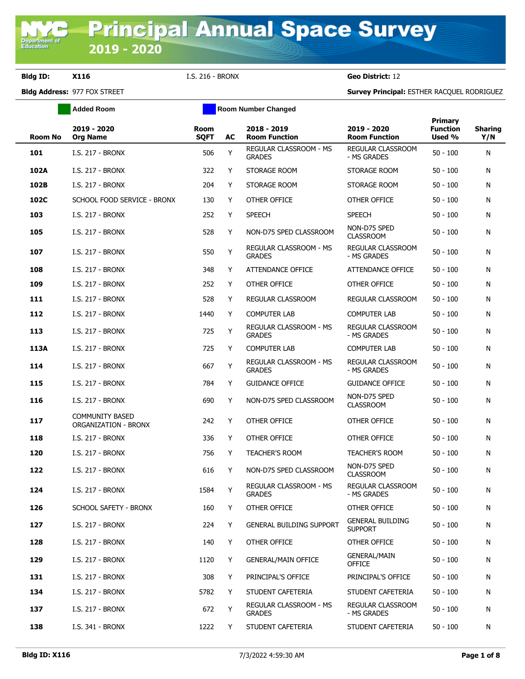**Department of**<br>Education

|                | <b>Added Room</b>                                     |                     | <b>Room Number Changed</b> |                                                |                                           |                                      |                       |
|----------------|-------------------------------------------------------|---------------------|----------------------------|------------------------------------------------|-------------------------------------------|--------------------------------------|-----------------------|
| <b>Room No</b> | 2019 - 2020<br><b>Org Name</b>                        | Room<br><b>SQFT</b> | AC                         | 2018 - 2019<br><b>Room Function</b>            | 2019 - 2020<br><b>Room Function</b>       | Primary<br><b>Function</b><br>Used % | <b>Sharing</b><br>Y/N |
| 101            | I.S. 217 - BRONX                                      | 506                 | Y                          | REGULAR CLASSROOM - MS<br><b>GRADES</b>        | REGULAR CLASSROOM<br>- MS GRADES          | $50 - 100$                           | N                     |
| 102A           | <b>I.S. 217 - BRONX</b>                               | 322                 | Y                          | STORAGE ROOM                                   | STORAGE ROOM                              | $50 - 100$                           | N                     |
| 102B           | I.S. 217 - BRONX                                      | 204                 | Y                          | STORAGE ROOM                                   | STORAGE ROOM                              | $50 - 100$                           | N                     |
| 102C           | SCHOOL FOOD SERVICE - BRONX                           | 130                 | Y                          | OTHER OFFICE                                   | OTHER OFFICE                              | $50 - 100$                           | N                     |
| 103            | I.S. 217 - BRONX                                      | 252                 | Y                          | <b>SPEECH</b>                                  | <b>SPEECH</b>                             | $50 - 100$                           | N                     |
| 105            | <b>I.S. 217 - BRONX</b>                               | 528                 | Y                          | NON-D75 SPED CLASSROOM                         | NON-D75 SPED<br><b>CLASSROOM</b>          | $50 - 100$                           | N                     |
| 107            | I.S. 217 - BRONX                                      | 550                 | Y                          | REGULAR CLASSROOM - MS<br><b>GRADES</b>        | REGULAR CLASSROOM<br>- MS GRADES          | $50 - 100$                           | N                     |
| 108            | <b>I.S. 217 - BRONX</b>                               | 348                 | Y                          | ATTENDANCE OFFICE                              | ATTENDANCE OFFICE                         | $50 - 100$                           | N                     |
| 109            | I.S. 217 - BRONX                                      | 252                 | Y                          | OTHER OFFICE                                   | OTHER OFFICE                              | $50 - 100$                           | N                     |
| 111            | <b>I.S. 217 - BRONX</b>                               | 528                 | Y                          | REGULAR CLASSROOM                              | REGULAR CLASSROOM                         | $50 - 100$                           | N                     |
| 112            | I.S. 217 - BRONX                                      | 1440                | Y                          | <b>COMPUTER LAB</b>                            | <b>COMPUTER LAB</b>                       | $50 - 100$                           | N                     |
| 113            | I.S. 217 - BRONX                                      | 725                 | Υ                          | <b>REGULAR CLASSROOM - MS</b><br><b>GRADES</b> | <b>REGULAR CLASSROOM</b><br>- MS GRADES   | $50 - 100$                           | N                     |
| 113A           | I.S. 217 - BRONX                                      | 725                 | Y                          | <b>COMPUTER LAB</b>                            | <b>COMPUTER LAB</b>                       | $50 - 100$                           | N                     |
| 114            | <b>I.S. 217 - BRONX</b>                               | 667                 | Υ                          | REGULAR CLASSROOM - MS<br><b>GRADES</b>        | REGULAR CLASSROOM<br>- MS GRADES          | $50 - 100$                           | N                     |
| 115            | <b>I.S. 217 - BRONX</b>                               | 784                 | Y                          | <b>GUIDANCE OFFICE</b>                         | <b>GUIDANCE OFFICE</b>                    | $50 - 100$                           | N                     |
| 116            | I.S. 217 - BRONX                                      | 690                 | Y                          | NON-D75 SPED CLASSROOM                         | NON-D75 SPED<br><b>CLASSROOM</b>          | $50 - 100$                           | N                     |
| 117            | <b>COMMUNITY BASED</b><br><b>ORGANIZATION - BRONX</b> | 242                 | Y                          | OTHER OFFICE                                   | OTHER OFFICE                              | $50 - 100$                           | N                     |
| 118            | I.S. 217 - BRONX                                      | 336                 | Y                          | OTHER OFFICE                                   | OTHER OFFICE                              | $50 - 100$                           | N                     |
| 120            | <b>I.S. 217 - BRONX</b>                               | 756                 | Y                          | <b>TEACHER'S ROOM</b>                          | <b>TEACHER'S ROOM</b>                     | $50 - 100$                           | N                     |
| 122            | <b>I.S. 217 - BRONX</b>                               | 616                 | Y                          | NON-D75 SPED CLASSROOM                         | NON-D75 SPED<br><b>CLASSROOM</b>          | $50 - 100$                           | N                     |
| 124            | I.S. 217 - BRONX                                      | 1584                | Y                          | REGULAR CLASSROOM - MS<br><b>GRADES</b>        | REGULAR CLASSROOM<br>- MS GRADES          | $50 - 100$                           | N                     |
| 126            | SCHOOL SAFETY - BRONX                                 | 160                 | Y                          | OTHER OFFICE                                   | OTHER OFFICE                              | $50 - 100$                           | N                     |
| 127            | I.S. 217 - BRONX                                      | 224                 | Y                          | <b>GENERAL BUILDING SUPPORT</b>                | <b>GENERAL BUILDING</b><br><b>SUPPORT</b> | $50 - 100$                           | N                     |
| 128            | <b>I.S. 217 - BRONX</b>                               | 140                 | Y                          | OTHER OFFICE                                   | OTHER OFFICE                              | $50 - 100$                           | N                     |
| 129            | I.S. 217 - BRONX                                      | 1120                | Y                          | <b>GENERAL/MAIN OFFICE</b>                     | <b>GENERAL/MAIN</b><br><b>OFFICE</b>      | $50 - 100$                           | N                     |
| 131            | I.S. 217 - BRONX                                      | 308                 | Y                          | PRINCIPAL'S OFFICE                             | PRINCIPAL'S OFFICE                        | $50 - 100$                           | N                     |
| 134            | I.S. 217 - BRONX                                      | 5782                | Y                          | STUDENT CAFETERIA                              | STUDENT CAFETERIA                         | $50 - 100$                           | N                     |
| 137            | I.S. 217 - BRONX                                      | 672                 | Υ                          | REGULAR CLASSROOM - MS<br><b>GRADES</b>        | REGULAR CLASSROOM<br>- MS GRADES          | $50 - 100$                           | N                     |
| 138            | I.S. 341 - BRONX                                      | 1222                | Y                          | STUDENT CAFETERIA                              | STUDENT CAFETERIA                         | $50 - 100$                           | N                     |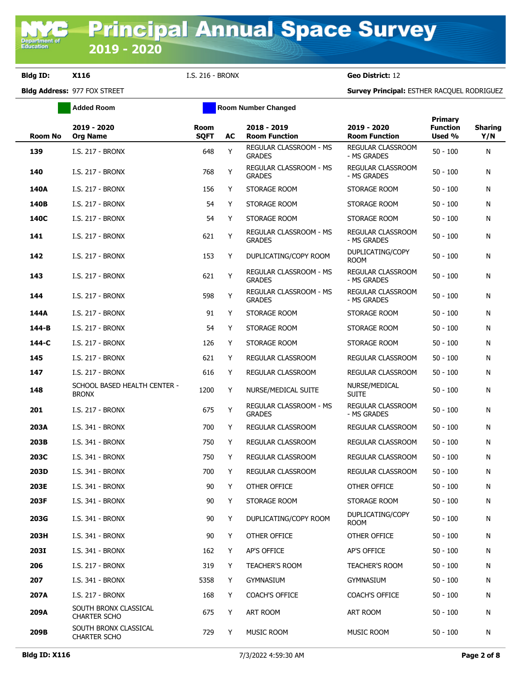|                | <b>Added Room</b>                            |                            | <b>Room Number Changed</b> |                                         |                                         |                                      |                       |
|----------------|----------------------------------------------|----------------------------|----------------------------|-----------------------------------------|-----------------------------------------|--------------------------------------|-----------------------|
| <b>Room No</b> | 2019 - 2020<br><b>Org Name</b>               | <b>Room</b><br><b>SQFT</b> | AC                         | 2018 - 2019<br><b>Room Function</b>     | 2019 - 2020<br><b>Room Function</b>     | Primary<br><b>Function</b><br>Used % | <b>Sharing</b><br>Y/N |
| 139            | I.S. 217 - BRONX                             | 648                        | Y                          | REGULAR CLASSROOM - MS<br><b>GRADES</b> | REGULAR CLASSROOM<br>- MS GRADES        | $50 - 100$                           | N                     |
| 140            | I.S. 217 - BRONX                             | 768                        | Υ                          | REGULAR CLASSROOM - MS<br><b>GRADES</b> | REGULAR CLASSROOM<br>- MS GRADES        | $50 - 100$                           | N                     |
| 140A           | <b>I.S. 217 - BRONX</b>                      | 156                        | Y                          | STORAGE ROOM                            | STORAGE ROOM                            | 50 - 100                             | N                     |
| 140B           | <b>I.S. 217 - BRONX</b>                      | 54                         | Y                          | STORAGE ROOM                            | STORAGE ROOM                            | $50 - 100$                           | N                     |
| 140C           | <b>I.S. 217 - BRONX</b>                      | 54                         | Y                          | STORAGE ROOM                            | STORAGE ROOM                            | 50 - 100                             | N                     |
| 141            | <b>I.S. 217 - BRONX</b>                      | 621                        | Υ                          | REGULAR CLASSROOM - MS<br><b>GRADES</b> | REGULAR CLASSROOM<br>- MS GRADES        | $50 - 100$                           | N                     |
| 142            | <b>I.S. 217 - BRONX</b>                      | 153                        | Y                          | DUPLICATING/COPY ROOM                   | DUPLICATING/COPY<br><b>ROOM</b>         | $50 - 100$                           | N                     |
| 143            | <b>I.S. 217 - BRONX</b>                      | 621                        | Υ                          | REGULAR CLASSROOM - MS<br><b>GRADES</b> | <b>REGULAR CLASSROOM</b><br>- MS GRADES | $50 - 100$                           | N                     |
| 144            | <b>I.S. 217 - BRONX</b>                      | 598                        | Y                          | REGULAR CLASSROOM - MS<br><b>GRADES</b> | REGULAR CLASSROOM<br>- MS GRADES        | $50 - 100$                           | N                     |
| 144A           | I.S. 217 - BRONX                             | 91                         | Y                          | STORAGE ROOM                            | STORAGE ROOM                            | 50 - 100                             | N                     |
| 144-B          | I.S. 217 - BRONX                             | 54                         | Y                          | STORAGE ROOM                            | STORAGE ROOM                            | 50 - 100                             | N                     |
| 144-C          | I.S. 217 - BRONX                             | 126                        | Y                          | STORAGE ROOM                            | STORAGE ROOM                            | 50 - 100                             | N                     |
| 145            | I.S. 217 - BRONX                             | 621                        | Y                          | REGULAR CLASSROOM                       | REGULAR CLASSROOM                       | 50 - 100                             | N                     |
| 147            | I.S. 217 - BRONX                             | 616                        | Y                          | REGULAR CLASSROOM                       | REGULAR CLASSROOM                       | 50 - 100                             | N                     |
| 148            | SCHOOL BASED HEALTH CENTER -<br><b>BRONX</b> | 1200                       | Y                          | NURSE/MEDICAL SUITE                     | NURSE/MEDICAL<br><b>SUITE</b>           | $50 - 100$                           | N                     |
| 201            | I.S. 217 - BRONX                             | 675                        | Υ                          | REGULAR CLASSROOM - MS<br><b>GRADES</b> | REGULAR CLASSROOM<br>- MS GRADES        | $50 - 100$                           | N                     |
| 203A           | I.S. 341 - BRONX                             | 700                        | Y                          | REGULAR CLASSROOM                       | REGULAR CLASSROOM                       | $50 - 100$                           | N                     |
| 203B           | I.S. 341 - BRONX                             | 750                        | Y                          | <b>REGULAR CLASSROOM</b>                | REGULAR CLASSROOM                       | $50 - 100$                           | N                     |
| 203C           | I.S. 341 - BRONX                             | 750                        | Y                          | REGULAR CLASSROOM                       | REGULAR CLASSROOM                       | 50 - 100                             | N                     |
| 203D           | I.S. 341 - BRONX                             | 700                        | Y                          | REGULAR CLASSROOM                       | REGULAR CLASSROOM                       | 50 - 100                             | N                     |
| 203E           | I.S. 341 - BRONX                             | 90                         | Y                          | OTHER OFFICE                            | OTHER OFFICE                            | 50 - 100                             | N                     |
| 203F           | I.S. 341 - BRONX                             | 90                         | Y                          | STORAGE ROOM                            | STORAGE ROOM                            | $50 - 100$                           | N                     |
| 203G           | I.S. 341 - BRONX                             | 90                         | Y                          | DUPLICATING/COPY ROOM                   | DUPLICATING/COPY<br><b>ROOM</b>         | $50 - 100$                           | N                     |
| 203H           | I.S. 341 - BRONX                             | 90                         | Y                          | OTHER OFFICE                            | OTHER OFFICE                            | $50 - 100$                           | N                     |
| <b>203I</b>    | I.S. 341 - BRONX                             | 162                        | Y                          | AP'S OFFICE                             | AP'S OFFICE                             | $50 - 100$                           | N                     |
| 206            | I.S. 217 - BRONX                             | 319                        | Y                          | <b>TEACHER'S ROOM</b>                   | <b>TEACHER'S ROOM</b>                   | $50 - 100$                           | N                     |
| 207            | I.S. 341 - BRONX                             | 5358                       | Y                          | <b>GYMNASIUM</b>                        | <b>GYMNASIUM</b>                        | 50 - 100                             | N                     |
| 207A           | I.S. 217 - BRONX                             | 168                        | Y                          | <b>COACH'S OFFICE</b>                   | <b>COACH'S OFFICE</b>                   | $50 - 100$                           | N                     |
| 209A           | SOUTH BRONX CLASSICAL<br><b>CHARTER SCHO</b> | 675                        | Y                          | ART ROOM                                | ART ROOM                                | 50 - 100                             | N                     |
| 209B           | SOUTH BRONX CLASSICAL<br><b>CHARTER SCHO</b> | 729                        | Y                          | MUSIC ROOM                              | MUSIC ROOM                              | $50 - 100$                           | N                     |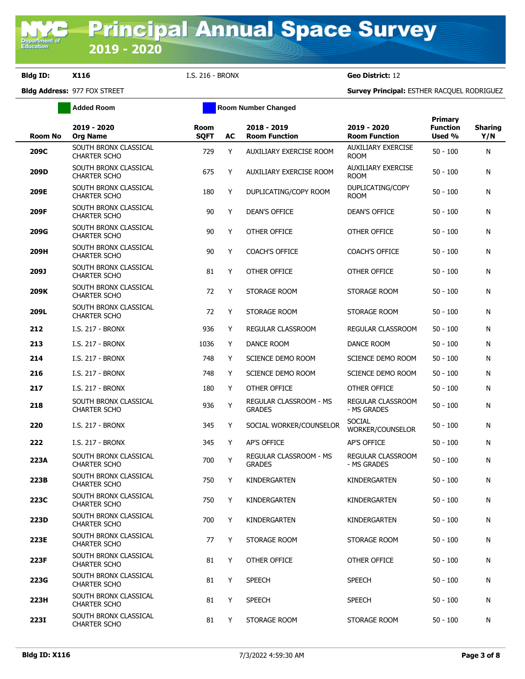**Added Room Room Room Number Changed** 

| <b>Room No</b> | 2019 - 2020<br><b>Org Name</b>               | <b>Room</b><br><b>SQFT</b> | AC | 2018 - 2019<br><b>Room Function</b>     | 2019 - 2020<br><b>Room Function</b>      | <b>Primary</b><br><b>Function</b><br>Used % | <b>Sharing</b><br>Y/N |
|----------------|----------------------------------------------|----------------------------|----|-----------------------------------------|------------------------------------------|---------------------------------------------|-----------------------|
| 209C           | SOUTH BRONX CLASSICAL<br><b>CHARTER SCHO</b> | 729                        | Y  | AUXILIARY EXERCISE ROOM                 | <b>AUXILIARY EXERCISE</b><br><b>ROOM</b> | $50 - 100$                                  | N                     |
| 209D           | SOUTH BRONX CLASSICAL<br><b>CHARTER SCHO</b> | 675                        | Y  | AUXILIARY EXERCISE ROOM                 | AUXILIARY EXERCISE<br><b>ROOM</b>        | $50 - 100$                                  | N                     |
| 209E           | SOUTH BRONX CLASSICAL<br><b>CHARTER SCHO</b> | 180                        | Y  | DUPLICATING/COPY ROOM                   | DUPLICATING/COPY<br><b>ROOM</b>          | $50 - 100$                                  | N                     |
| 209F           | SOUTH BRONX CLASSICAL<br><b>CHARTER SCHO</b> | 90                         | Y  | <b>DEAN'S OFFICE</b>                    | <b>DEAN'S OFFICE</b>                     | $50 - 100$                                  | N                     |
| 209G           | SOUTH BRONX CLASSICAL<br><b>CHARTER SCHO</b> | 90                         | Y  | OTHER OFFICE                            | OTHER OFFICE                             | $50 - 100$                                  | N                     |
| 209H           | SOUTH BRONX CLASSICAL<br><b>CHARTER SCHO</b> | 90                         | Y  | <b>COACH'S OFFICE</b>                   | <b>COACH'S OFFICE</b>                    | $50 - 100$                                  | N                     |
| 209J           | SOUTH BRONX CLASSICAL<br><b>CHARTER SCHO</b> | 81                         | Y  | OTHER OFFICE                            | OTHER OFFICE                             | $50 - 100$                                  | N                     |
| 209K           | SOUTH BRONX CLASSICAL<br><b>CHARTER SCHO</b> | 72                         | Y  | STORAGE ROOM                            | STORAGE ROOM                             | $50 - 100$                                  | N                     |
| 209L           | SOUTH BRONX CLASSICAL<br><b>CHARTER SCHO</b> | 72                         | Y  | STORAGE ROOM                            | STORAGE ROOM                             | $50 - 100$                                  | N                     |
| 212            | I.S. 217 - BRONX                             | 936                        | Y  | REGULAR CLASSROOM                       | REGULAR CLASSROOM                        | $50 - 100$                                  | N                     |
| 213            | <b>I.S. 217 - BRONX</b>                      | 1036                       | Y  | DANCE ROOM                              | DANCE ROOM                               | $50 - 100$                                  | N                     |
| 214            | <b>I.S. 217 - BRONX</b>                      | 748                        | Y  | SCIENCE DEMO ROOM                       | SCIENCE DEMO ROOM                        | $50 - 100$                                  | N                     |
| 216            | <b>I.S. 217 - BRONX</b>                      | 748                        | Y  | SCIENCE DEMO ROOM                       | SCIENCE DEMO ROOM                        | $50 - 100$                                  | N                     |
| 217            | I.S. 217 - BRONX                             | 180                        | Y  | OTHER OFFICE                            | OTHER OFFICE                             | $50 - 100$                                  | N                     |
| 218            | SOUTH BRONX CLASSICAL<br><b>CHARTER SCHO</b> | 936                        | Y  | REGULAR CLASSROOM - MS<br><b>GRADES</b> | REGULAR CLASSROOM<br>- MS GRADES         | $50 - 100$                                  | N                     |
| 220            | I.S. 217 - BRONX                             | 345                        | Y  | SOCIAL WORKER/COUNSELOR                 | <b>SOCIAL</b><br>WORKER/COUNSELOR        | $50 - 100$                                  | N                     |
| 222            | <b>I.S. 217 - BRONX</b>                      | 345                        | Y  | AP'S OFFICE                             | AP'S OFFICE                              | $50 - 100$                                  | N                     |
| 223A           | SOUTH BRONX CLASSICAL<br><b>CHARTER SCHO</b> | 700                        | Y  | REGULAR CLASSROOM - MS<br><b>GRADES</b> | <b>REGULAR CLASSROOM</b><br>- MS GRADES  | $50 - 100$                                  | N                     |
| 223B           | SOUTH BRONX CLASSICAL<br><b>CHARTER SCHO</b> | 750                        | Y  | KINDERGARTEN                            | KINDERGARTEN                             | $50 - 100$                                  | N                     |
| 223C           | SOUTH BRONX CLASSICAL<br><b>CHARTER SCHO</b> | 750                        | Y  | KINDERGARTEN                            | KINDERGARTEN                             | $50 - 100$                                  | N                     |
| 223D           | SOUTH BRONX CLASSICAL<br><b>CHARTER SCHO</b> | 700                        | Y  | KINDERGARTEN                            | KINDERGARTEN                             | $50 - 100$                                  | N                     |
| 223E           | SOUTH BRONX CLASSICAL<br><b>CHARTER SCHO</b> | 77                         | Y  | STORAGE ROOM                            | STORAGE ROOM                             | 50 - 100                                    | N                     |
| 223F           | SOUTH BRONX CLASSICAL<br><b>CHARTER SCHO</b> | 81                         | Y  | OTHER OFFICE                            | OTHER OFFICE                             | 50 - 100                                    | N                     |
| 223G           | SOUTH BRONX CLASSICAL<br>CHARTER SCHO        | 81                         | Y  | <b>SPEECH</b>                           | <b>SPEECH</b>                            | 50 - 100                                    | N                     |
| 223H           | SOUTH BRONX CLASSICAL<br>CHARTER SCHO        | 81                         | Y  | <b>SPEECH</b>                           | SPEECH                                   | 50 - 100                                    | N                     |
| <b>223I</b>    | SOUTH BRONX CLASSICAL<br><b>CHARTER SCHO</b> | 81                         | Y  | STORAGE ROOM                            | STORAGE ROOM                             | 50 - 100                                    | N                     |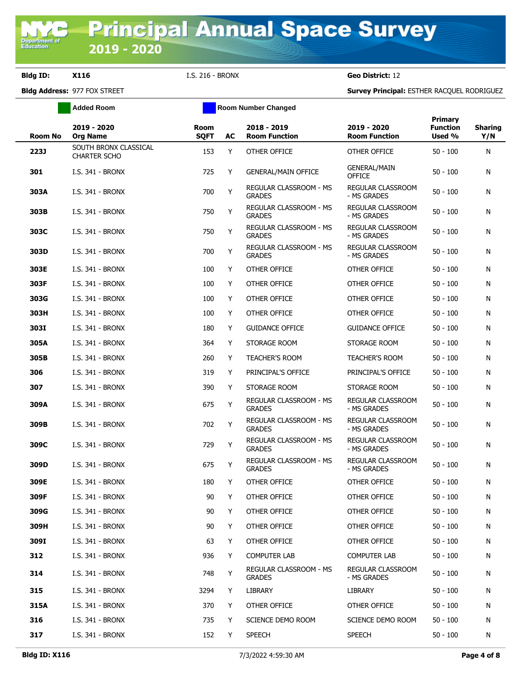|         | <b>Added Room</b>                     |                     |    |                                                |                                     |                                      |                       |
|---------|---------------------------------------|---------------------|----|------------------------------------------------|-------------------------------------|--------------------------------------|-----------------------|
| Room No | 2019 - 2020<br><b>Org Name</b>        | Room<br><b>SQFT</b> | AC | 2018 - 2019<br><b>Room Function</b>            | 2019 - 2020<br><b>Room Function</b> | Primary<br><b>Function</b><br>Used % | <b>Sharing</b><br>Y/N |
| 223J    | SOUTH BRONX CLASSICAL<br>CHARTER SCHO | 153                 | Y  | OTHER OFFICE                                   | OTHER OFFICE                        | $50 - 100$                           | N                     |
| 301     | I.S. 341 - BRONX                      | 725                 | Y  | <b>GENERAL/MAIN OFFICE</b>                     | <b>GENERAL/MAIN</b><br>OFFICE       | 50 - 100                             | N                     |
| 303A    | I.S. 341 - BRONX                      | 700                 | Υ  | REGULAR CLASSROOM - MS<br><b>GRADES</b>        | REGULAR CLASSROOM<br>- MS GRADES    | $50 - 100$                           | N                     |
| 303B    | I.S. 341 - BRONX                      | 750                 | Y  | <b>REGULAR CLASSROOM - MS</b><br><b>GRADES</b> | REGULAR CLASSROOM<br>- MS GRADES    | $50 - 100$                           | N                     |
| 303C    | I.S. 341 - BRONX                      | 750                 | Y  | REGULAR CLASSROOM - MS<br><b>GRADES</b>        | REGULAR CLASSROOM<br>- MS GRADES    | $50 - 100$                           | N                     |
| 303D    | I.S. 341 - BRONX                      | 700                 | Y  | REGULAR CLASSROOM - MS<br><b>GRADES</b>        | REGULAR CLASSROOM<br>- MS GRADES    | 50 - 100                             | N                     |
| 303E    | I.S. 341 - BRONX                      | 100                 | Y  | OTHER OFFICE                                   | OTHER OFFICE                        | 50 - 100                             | N                     |
| 303F    | I.S. 341 - BRONX                      | 100                 | Y  | OTHER OFFICE                                   | OTHER OFFICE                        | $50 - 100$                           | N                     |
| 303G    | I.S. 341 - BRONX                      | 100                 | Y  | OTHER OFFICE                                   | OTHER OFFICE                        | $50 - 100$                           | N                     |
| 303H    | I.S. 341 - BRONX                      | 100                 | Y  | OTHER OFFICE                                   | OTHER OFFICE                        | $50 - 100$                           | N                     |
| 303I    | I.S. 341 - BRONX                      | 180                 | Y  | <b>GUIDANCE OFFICE</b>                         | <b>GUIDANCE OFFICE</b>              | 50 - 100                             | N                     |
| 305A    | I.S. 341 - BRONX                      | 364                 | Y  | STORAGE ROOM                                   | STORAGE ROOM                        | 50 - 100                             | N                     |
| 305B    | I.S. 341 - BRONX                      | 260                 | Y  | TEACHER'S ROOM                                 | <b>TEACHER'S ROOM</b>               | 50 - 100                             | N                     |
| 306     | I.S. 341 - BRONX                      | 319                 | Y  | PRINCIPAL'S OFFICE                             | PRINCIPAL'S OFFICE                  | $50 - 100$                           | N                     |
| 307     | I.S. 341 - BRONX                      | 390                 | Y  | STORAGE ROOM                                   | STORAGE ROOM                        | 50 - 100                             | N                     |
| 309A    | I.S. 341 - BRONX                      | 675                 | Y  | REGULAR CLASSROOM - MS<br><b>GRADES</b>        | REGULAR CLASSROOM<br>- MS GRADES    | $50 - 100$                           | N                     |
| 309B    | I.S. 341 - BRONX                      | 702                 | Y  | REGULAR CLASSROOM - MS<br><b>GRADES</b>        | REGULAR CLASSROOM<br>- MS GRADES    | $50 - 100$                           | N                     |
| 309C    | I.S. 341 - BRONX                      | 729                 | Y  | REGULAR CLASSROOM - MS<br><b>GRADES</b>        | REGULAR CLASSROOM<br>- MS GRADES    | $50 - 100$                           | N                     |
| 309D    | I.S. 341 - BRONX                      | 675                 | Y  | <b>REGULAR CLASSROOM - MS</b><br><b>GRADES</b> | REGULAR CLASSROOM<br>- MS GRADES    | 50 - 100                             | N                     |
| 309E    | I.S. 341 - BRONX                      | 180                 | Y  | OTHER OFFICE                                   | OTHER OFFICE                        | 50 - 100                             | N                     |
| 309F    | I.S. 341 - BRONX                      | 90                  | Y  | OTHER OFFICE                                   | OTHER OFFICE                        | $50 - 100$                           | N                     |
| 309G    | I.S. 341 - BRONX                      | 90                  | Y  | OTHER OFFICE                                   | OTHER OFFICE                        | $50 - 100$                           | N                     |
| 309H    | I.S. 341 - BRONX                      | 90                  | Y  | OTHER OFFICE                                   | OTHER OFFICE                        | $50 - 100$                           | N                     |
| 309I    | I.S. 341 - BRONX                      | 63                  | Y  | OTHER OFFICE                                   | OTHER OFFICE                        | $50 - 100$                           | N                     |
| 312     | I.S. 341 - BRONX                      | 936                 | Y  | <b>COMPUTER LAB</b>                            | <b>COMPUTER LAB</b>                 | $50 - 100$                           | N                     |
| 314     | I.S. 341 - BRONX                      | 748                 | Y  | REGULAR CLASSROOM - MS<br><b>GRADES</b>        | REGULAR CLASSROOM<br>- MS GRADES    | 50 - 100                             | N                     |
| 315     | I.S. 341 - BRONX                      | 3294                | Y  | LIBRARY                                        | LIBRARY                             | 50 - 100                             | N                     |
| 315A    | I.S. 341 - BRONX                      | 370                 | Y  | OTHER OFFICE                                   | OTHER OFFICE                        | 50 - 100                             | N                     |
| 316     | I.S. 341 - BRONX                      | 735                 | Y  | SCIENCE DEMO ROOM                              | SCIENCE DEMO ROOM                   | $50 - 100$                           | N                     |
| 317     | I.S. 341 - BRONX                      | 152                 | Y  | <b>SPEECH</b>                                  | <b>SPEECH</b>                       | $50 - 100$                           | N                     |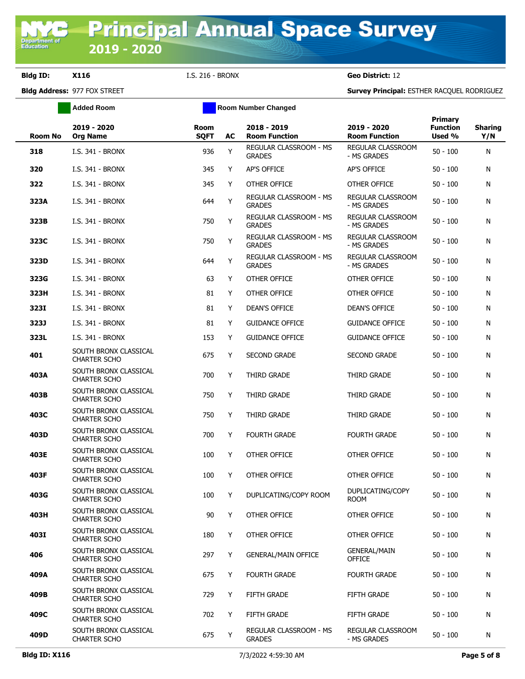|                | <b>Added Room</b>                            |                            |    | <b>Room Number Changed</b>              |                                         |                                      |                       |
|----------------|----------------------------------------------|----------------------------|----|-----------------------------------------|-----------------------------------------|--------------------------------------|-----------------------|
| <b>Room No</b> | 2019 - 2020<br><b>Org Name</b>               | <b>Room</b><br><b>SQFT</b> | AC | 2018 - 2019<br><b>Room Function</b>     | 2019 - 2020<br><b>Room Function</b>     | Primary<br><b>Function</b><br>Used % | <b>Sharing</b><br>Y/N |
| 318            | I.S. 341 - BRONX                             | 936                        | Y  | REGULAR CLASSROOM - MS<br><b>GRADES</b> | REGULAR CLASSROOM<br>- MS GRADES        | $50 - 100$                           | N                     |
| 320            | I.S. 341 - BRONX                             | 345                        | Y  | AP'S OFFICE                             | AP'S OFFICE                             | 50 - 100                             | N                     |
| 322            | I.S. 341 - BRONX                             | 345                        | Y  | OTHER OFFICE                            | OTHER OFFICE                            | 50 - 100                             | N                     |
| 323A           | I.S. 341 - BRONX                             | 644                        | Y  | REGULAR CLASSROOM - MS<br><b>GRADES</b> | <b>REGULAR CLASSROOM</b><br>- MS GRADES | $50 - 100$                           | N                     |
| 323B           | I.S. 341 - BRONX                             | 750                        | Y  | REGULAR CLASSROOM - MS<br><b>GRADES</b> | <b>REGULAR CLASSROOM</b><br>- MS GRADES | $50 - 100$                           | N                     |
| 323C           | I.S. 341 - BRONX                             | 750                        | Y  | REGULAR CLASSROOM - MS<br><b>GRADES</b> | REGULAR CLASSROOM<br>- MS GRADES        | $50 - 100$                           | N                     |
| 323D           | I.S. 341 - BRONX                             | 644                        | Υ  | REGULAR CLASSROOM - MS<br><b>GRADES</b> | REGULAR CLASSROOM<br>- MS GRADES        | $50 - 100$                           | N                     |
| 323G           | I.S. 341 - BRONX                             | 63                         | Y  | OTHER OFFICE                            | OTHER OFFICE                            | $50 - 100$                           | N                     |
| 323H           | I.S. 341 - BRONX                             | 81                         | Y  | OTHER OFFICE                            | OTHER OFFICE                            | 50 - 100                             | N                     |
| 323I           | I.S. 341 - BRONX                             | 81                         | Y  | <b>DEAN'S OFFICE</b>                    | <b>DEAN'S OFFICE</b>                    | 50 - 100                             | N                     |
| 323J           | I.S. 341 - BRONX                             | 81                         | Y  | <b>GUIDANCE OFFICE</b>                  | <b>GUIDANCE OFFICE</b>                  | 50 - 100                             | N                     |
| 323L           | I.S. 341 - BRONX                             | 153                        | Y  | <b>GUIDANCE OFFICE</b>                  | <b>GUIDANCE OFFICE</b>                  | 50 - 100                             | N                     |
| 401            | SOUTH BRONX CLASSICAL<br><b>CHARTER SCHO</b> | 675                        | Y  | <b>SECOND GRADE</b>                     | <b>SECOND GRADE</b>                     | 50 - 100                             | N                     |
| 403A           | SOUTH BRONX CLASSICAL<br><b>CHARTER SCHO</b> | 700                        | Y  | THIRD GRADE                             | THIRD GRADE                             | 50 - 100                             | N                     |
| 403B           | SOUTH BRONX CLASSICAL<br><b>CHARTER SCHO</b> | 750                        | Y  | THIRD GRADE                             | THIRD GRADE                             | 50 - 100                             | N                     |
| 403C           | SOUTH BRONX CLASSICAL<br><b>CHARTER SCHO</b> | 750                        | Y  | THIRD GRADE                             | THIRD GRADE                             | 50 - 100                             | N                     |
| 403D           | SOUTH BRONX CLASSICAL<br><b>CHARTER SCHO</b> | 700                        | Y  | <b>FOURTH GRADE</b>                     | <b>FOURTH GRADE</b>                     | 50 - 100                             | N                     |
| 403E           | SOUTH BRONX CLASSICAL<br><b>CHARTER SCHO</b> | 100                        | Y  | OTHER OFFICE                            | OTHER OFFICE                            | 50 - 100                             | N                     |
| 403F           | SOUTH BRONX CLASSICAL<br><b>CHARTER SCHO</b> | 100                        | Y  | OTHER OFFICE                            | OTHER OFFICE                            | $50 - 100$                           | N                     |
| 403G           | SOUTH BRONX CLASSICAL<br><b>CHARTER SCHO</b> | 100                        | Y  | DUPLICATING/COPY ROOM                   | DUPLICATING/COPY<br><b>ROOM</b>         | $50 - 100$                           | N                     |
| 403H           | SOUTH BRONX CLASSICAL<br><b>CHARTER SCHO</b> | 90                         | Y  | OTHER OFFICE                            | OTHER OFFICE                            | $50 - 100$                           | N                     |
| 403I           | SOUTH BRONX CLASSICAL<br><b>CHARTER SCHO</b> | 180                        | Y  | OTHER OFFICE                            | OTHER OFFICE                            | $50 - 100$                           | N                     |
| 406            | SOUTH BRONX CLASSICAL<br><b>CHARTER SCHO</b> | 297                        | Y  | <b>GENERAL/MAIN OFFICE</b>              | <b>GENERAL/MAIN</b><br>OFFICE           | 50 - 100                             | N                     |
| 409A           | SOUTH BRONX CLASSICAL<br><b>CHARTER SCHO</b> | 675                        | Y  | <b>FOURTH GRADE</b>                     | <b>FOURTH GRADE</b>                     | 50 - 100                             | N                     |
| 409B           | SOUTH BRONX CLASSICAL<br><b>CHARTER SCHO</b> | 729                        | Y  | <b>FIFTH GRADE</b>                      | <b>FIFTH GRADE</b>                      | 50 - 100                             | N                     |
| 409C           | SOUTH BRONX CLASSICAL<br><b>CHARTER SCHO</b> | 702                        | Y  | <b>FIFTH GRADE</b>                      | <b>FIFTH GRADE</b>                      | 50 - 100                             | N                     |
| 409D           | SOUTH BRONX CLASSICAL<br><b>CHARTER SCHO</b> | 675                        | Y  | REGULAR CLASSROOM - MS<br><b>GRADES</b> | REGULAR CLASSROOM<br>- MS GRADES        | $50 - 100$                           | N                     |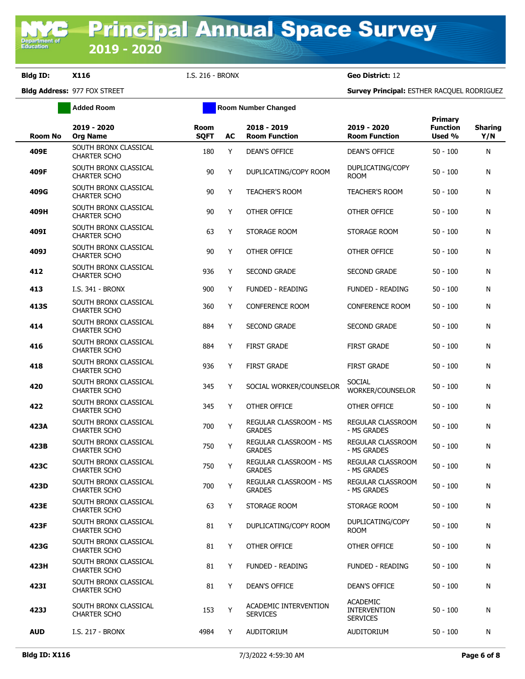**Added Room Room Room Number Changed** 

| <b>Room No</b> | 2019 - 2020<br><b>Org Name</b>               | <b>Room</b><br><b>SQFT</b> | AC | 2018 - 2019<br><b>Room Function</b>      | 2019 - 2020<br><b>Room Function</b>                       | <b>Primary</b><br><b>Function</b><br>Used % | <b>Sharing</b><br>Y/N |
|----------------|----------------------------------------------|----------------------------|----|------------------------------------------|-----------------------------------------------------------|---------------------------------------------|-----------------------|
| 409E           | SOUTH BRONX CLASSICAL<br><b>CHARTER SCHO</b> | 180                        | Y  | <b>DEAN'S OFFICE</b>                     | <b>DEAN'S OFFICE</b>                                      | $50 - 100$                                  | N                     |
| 409F           | SOUTH BRONX CLASSICAL<br><b>CHARTER SCHO</b> | 90                         | Y  | DUPLICATING/COPY ROOM                    | DUPLICATING/COPY<br><b>ROOM</b>                           | 50 - 100                                    | N                     |
| 409G           | SOUTH BRONX CLASSICAL<br><b>CHARTER SCHO</b> | 90                         | Y  | <b>TEACHER'S ROOM</b>                    | <b>TEACHER'S ROOM</b>                                     | 50 - 100                                    | N                     |
| 409H           | SOUTH BRONX CLASSICAL<br><b>CHARTER SCHO</b> | 90                         | Y  | OTHER OFFICE                             | OTHER OFFICE                                              | $50 - 100$                                  | N                     |
| 409I           | SOUTH BRONX CLASSICAL<br><b>CHARTER SCHO</b> | 63                         | Y  | STORAGE ROOM                             | STORAGE ROOM                                              | 50 - 100                                    | N                     |
| 409J           | SOUTH BRONX CLASSICAL<br><b>CHARTER SCHO</b> | 90                         | Y  | OTHER OFFICE                             | OTHER OFFICE                                              | 50 - 100                                    | N                     |
| 412            | SOUTH BRONX CLASSICAL<br><b>CHARTER SCHO</b> | 936                        | Y  | <b>SECOND GRADE</b>                      | <b>SECOND GRADE</b>                                       | 50 - 100                                    | N                     |
| 413            | <b>I.S. 341 - BRONX</b>                      | 900                        | Y  | <b>FUNDED - READING</b>                  | <b>FUNDED - READING</b>                                   | 50 - 100                                    | N                     |
| 413S           | SOUTH BRONX CLASSICAL<br><b>CHARTER SCHO</b> | 360                        | Y  | <b>CONFERENCE ROOM</b>                   | <b>CONFERENCE ROOM</b>                                    | $50 - 100$                                  | N                     |
| 414            | SOUTH BRONX CLASSICAL<br><b>CHARTER SCHO</b> | 884                        | Y  | <b>SECOND GRADE</b>                      | <b>SECOND GRADE</b>                                       | 50 - 100                                    | N                     |
| 416            | SOUTH BRONX CLASSICAL<br><b>CHARTER SCHO</b> | 884                        | Y  | <b>FIRST GRADE</b>                       | <b>FIRST GRADE</b>                                        | 50 - 100                                    | N                     |
| 418            | SOUTH BRONX CLASSICAL<br><b>CHARTER SCHO</b> | 936                        | Y  | <b>FIRST GRADE</b>                       | <b>FIRST GRADE</b>                                        | 50 - 100                                    | N                     |
| 420            | SOUTH BRONX CLASSICAL<br><b>CHARTER SCHO</b> | 345                        | Y  | SOCIAL WORKER/COUNSELOR                  | <b>SOCIAL</b><br>WORKER/COUNSELOR                         | 50 - 100                                    | N                     |
| 422            | SOUTH BRONX CLASSICAL<br><b>CHARTER SCHO</b> | 345                        | Y  | OTHER OFFICE                             | OTHER OFFICE                                              | 50 - 100                                    | N                     |
| 423A           | SOUTH BRONX CLASSICAL<br><b>CHARTER SCHO</b> | 700                        | Y  | REGULAR CLASSROOM - MS<br><b>GRADES</b>  | REGULAR CLASSROOM<br>- MS GRADES                          | 50 - 100                                    | N                     |
| 423B           | SOUTH BRONX CLASSICAL<br><b>CHARTER SCHO</b> | 750                        | Y  | REGULAR CLASSROOM - MS<br><b>GRADES</b>  | REGULAR CLASSROOM<br>- MS GRADES                          | $50 - 100$                                  | N                     |
| 423C           | SOUTH BRONX CLASSICAL<br><b>CHARTER SCHO</b> | 750                        | Y  | REGULAR CLASSROOM - MS<br><b>GRADES</b>  | REGULAR CLASSROOM<br>- MS GRADES                          | $50 - 100$                                  | N                     |
| 423D           | SOUTH BRONX CLASSICAL<br><b>CHARTER SCHO</b> | 700                        | Y  | REGULAR CLASSROOM - MS<br><b>GRADES</b>  | REGULAR CLASSROOM<br>- MS GRADES                          | $50 - 100$                                  | N                     |
| 423E           | SOUTH BRONX CLASSICAL<br>CHARTER SCHO        | 63                         | Y  | STORAGE ROOM                             | STORAGE ROOM                                              | $50 - 100$                                  | N                     |
| 423F           | SOUTH BRONX CLASSICAL<br><b>CHARTER SCHO</b> | 81                         | Y  | DUPLICATING/COPY ROOM                    | DUPLICATING/COPY<br><b>ROOM</b>                           | $50 - 100$                                  | N                     |
| 423G           | SOUTH BRONX CLASSICAL<br><b>CHARTER SCHO</b> | 81                         | Y  | OTHER OFFICE                             | OTHER OFFICE                                              | 50 - 100                                    | N                     |
| 423H           | SOUTH BRONX CLASSICAL<br><b>CHARTER SCHO</b> | 81                         | Y  | <b>FUNDED - READING</b>                  | FUNDED - READING                                          | 50 - 100                                    | N                     |
| 423I           | SOUTH BRONX CLASSICAL<br><b>CHARTER SCHO</b> | 81                         | Y  | DEAN'S OFFICE                            | <b>DEAN'S OFFICE</b>                                      | $50 - 100$                                  | N                     |
| 423J           | SOUTH BRONX CLASSICAL<br>CHARTER SCHO        | 153                        | Y  | ACADEMIC INTERVENTION<br><b>SERVICES</b> | <b>ACADEMIC</b><br><b>INTERVENTION</b><br><b>SERVICES</b> | 50 - 100                                    | N                     |
| <b>AUD</b>     | I.S. 217 - BRONX                             | 4984                       | Y  | AUDITORIUM                               | AUDITORIUM                                                | 50 - 100                                    | N                     |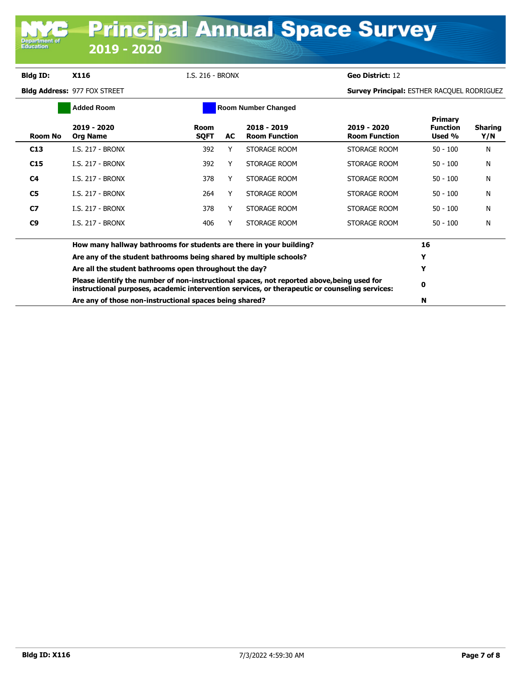**Department of**<br>Education

|                | <b>Added Room</b>                                                                                                                                                                            |                     |     | <b>Room Number Changed</b>          |                                     |                                             |                       |
|----------------|----------------------------------------------------------------------------------------------------------------------------------------------------------------------------------------------|---------------------|-----|-------------------------------------|-------------------------------------|---------------------------------------------|-----------------------|
| Room No        | 2019 - 2020<br><b>Org Name</b>                                                                                                                                                               | Room<br><b>SQFT</b> | AC. | 2018 - 2019<br><b>Room Function</b> | 2019 - 2020<br><b>Room Function</b> | <b>Primary</b><br><b>Function</b><br>Used % | <b>Sharing</b><br>Y/N |
| C13            | <b>I.S. 217 - BRONX</b>                                                                                                                                                                      | 392                 |     | STORAGE ROOM                        | STORAGE ROOM                        | $50 - 100$                                  | N                     |
| C15            | I.S. 217 - BRONX                                                                                                                                                                             | 392                 |     | STORAGE ROOM                        | STORAGE ROOM                        | $50 - 100$                                  | N                     |
| C <sub>4</sub> | I.S. 217 - BRONX                                                                                                                                                                             | 378                 |     | STORAGE ROOM                        | STORAGE ROOM                        | $50 - 100$                                  | N                     |
| C <sub>5</sub> | I.S. 217 - BRONX                                                                                                                                                                             | 264                 |     | STORAGE ROOM                        | STORAGE ROOM                        | $50 - 100$                                  | Ν                     |
| C7             | <b>I.S. 217 - BRONX</b>                                                                                                                                                                      | 378                 |     | STORAGE ROOM                        | STORAGE ROOM                        | $50 - 100$                                  | N                     |
| C <sub>9</sub> | <b>I.S. 217 - BRONX</b>                                                                                                                                                                      | 406                 |     | STORAGE ROOM                        | STORAGE ROOM                        | $50 - 100$                                  | N                     |
|                | How many hallway bathrooms for students are there in your building?                                                                                                                          |                     |     |                                     |                                     | 16                                          |                       |
|                | Are any of the student bathrooms being shared by multiple schools?                                                                                                                           |                     |     |                                     |                                     |                                             |                       |
|                | Are all the student bathrooms open throughout the day?                                                                                                                                       |                     |     |                                     |                                     |                                             |                       |
|                | Please identify the number of non-instructional spaces, not reported above, being used for<br>instructional purposes, academic intervention services, or therapeutic or counseling services: |                     |     |                                     |                                     |                                             |                       |
|                | Are any of those non-instructional spaces being shared?                                                                                                                                      |                     |     |                                     |                                     |                                             |                       |